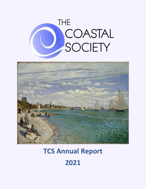



# **TCS Annual Report 2021**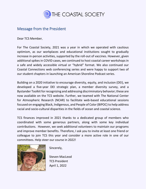

#### <span id="page-1-0"></span>Message from the President

Dear TCS Member,

For The Coastal Society, 2021 was a year in which we operated with cautious optimism, as our workplaces and educational institutions sought to gradually increase in-person activities, supported by the roll-out of vaccines. However, given additional spikes in COVID cases, we continued to host coastal career workshops in a safe and widely accessible virtual or "hybrid" format. We also continued our Coastal Connections web conferencing series and were happy to support two of our student chapters in launching an American Shoreline Podcast series.

Building on a 2020 initiative to encourage diversity, equity, and inclusion (DEI), we developed a five-year DEI strategic plan, a member diversity survey, and a Bystander Toolkit for recognizing and addressing discriminatory behavior; these are now available on the TCS website. Further, we teamed with The National Center for Atmospheric Research (NCAR) to facilitate web-based educational sessions focused on engaging Black, Indigenous, and People of Color (BIPOC) to help address racial and socio-cultural disparities in the fields of ocean and coastal science.

TCS finances improved in 2021 thanks to a dedicated group of members who coordinated with some generous partners, along with some key individual contributions. However, we seek additional volunteers to maintain our programs and improve member benefits. Therefore, I ask you to invite at least one friend or colleague to join TCS this year and consider a more active role in one of our committees. Help steer our course in 2022!



Sincerely,

Steven MacLeod TCS President April 1, 2022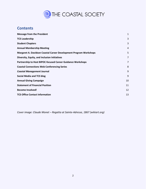

#### **Contents**

| <b>Message from the President</b>                                        | $\mathbf{1}$   |
|--------------------------------------------------------------------------|----------------|
| <b>TCS Leadership</b>                                                    | 3              |
| <b>Student Chapters</b>                                                  | 3              |
| <b>Annual Membership Meeting</b>                                         | 4              |
| <b>Margaret A. Davidson Coastal Career Development Program Workshops</b> | 5              |
| Diversity, Equity, and Inclusion Initiatives                             | 7              |
| <b>Partnership to Host BIPOC-focused Career Guidance Workshops</b>       | $\overline{7}$ |
| <b>Coastal Connections Web Conferencing Series</b>                       | 8              |
| <b>Coastal Management Journal</b>                                        | 9              |
| <b>Social Media and TCS blog</b>                                         | 9              |
| <b>Annual Giving Campaign</b>                                            | 10             |
| <b>Statement of Financial Position</b>                                   | 11             |
| <b>Become Involved!</b>                                                  | 12             |
| <b>TCS Office Contact Information</b>                                    | 13             |

*Cover image: Claude Monet – Regatta at Sainte-Adresse, 1867 (wikiart.org)*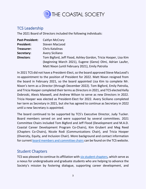

### <span id="page-3-0"></span>TCS Leadership

The 2021 Board of Directors included the following individuals:

| <b>Past-President:</b> | Caitlyn McCrary                                                 |
|------------------------|-----------------------------------------------------------------|
| <b>President:</b>      | <b>Steven MacLeod</b>                                           |
| Treasurer:             | Chris Katalinas                                                 |
| Secretary:             | <b>Avery Siciliano</b>                                          |
| <b>Directors:</b>      | Tom Bigford, Jeff Flood, Ashley Gordon, Tricia Hooper, Lisa Kim |
|                        | (beginning March 2021), Eugene (Geno) Olmi, Adrian Laufer,      |
|                        | Matt Nixon (until February 2021), Emily Patrolia                |

In 2021 TCS did not have a President-Elect, so the board approved Steve MacLeod's re-appointment to the position of President for 2022. Matt Nixon resigned from the board in February 2021, so the board appointed Lisa Kim to complete Mr. Nixon's term as a Director (through December 2022). Tom Bigford, Emily Patrolia, and Tricia Hooper completed their terms as Directors in 2021, and TCS elected Kelly Dobroski, Alexis Maxwell, and Andrew Wilson to serve as new Directors in 2022. Tricia Hooper was elected as President-Elect for 2022. Avery Siciliano completed her term as Secretary in 2021, but she has agreed to continue as Secretary in 2022 until a new Secretary is appointed.

The board continued to be supported by TCS's Executive Director, Judy Tucker. Board members served on and were supported by several committees. 2021 Committee Chairs included Tom Bigford and Jeff Flood (Development and M.A.D. Coastal Career Development Program Co-Chairs), Kim Grubert and Meg Reed (Chapters Co-Chairs), Nicole Rodi (Communications Chair), and Tricia Hooper (Diversity, Equity, and Inclusion Chair). More background and contact information for current [board members and committee chairs](https://thecoastalsociety.org/directors-committees/) can be found on the TCS website.

### <span id="page-3-1"></span>Student Chapters

TCS was pleased to continue its affiliation with [six student chapters,](https://thecoastalsociety.org/chapters/) which serve as a nexus for undergraduate and graduate students who are helping to advance the Society's mission by fostering dialogue, supporting career development, and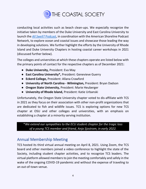

conducting local activities such as beach clean-ups. We especially recognize the initiative taken by members of the Duke University and East Carolina University to launch the *[All Swell?](https://www.coastalnewstoday.com/curator/genevieve-gg-guerry-kyra-hagge-nora-ives-eva-may-and-kara-nunnally)* [Podcast,](https://www.coastalnewstoday.com/curator/genevieve-gg-guerry-kyra-hagge-nora-ives-eva-may-and-kara-nunnally) in coordination with the American Shoreline Podcast Network, to explore ocean and coastal issues and showcase those leading the way in developing solutions. We further highlight the efforts by the University of Rhode Island and Duke University Chapters in hosting coastal career workshops in 2021 (discussed further below).

The colleges and universities at which these chapters operate are listed below with the primary points of contact for the respective chapters as of December 2021:

- **Duke University,** President: Eva May
- **East Carolina University\*,** President: Genevieve Guerry
- **Eckerd College,** President: Allana Crawford
- **University of North Carolina - Wilmington,** President: Bryan Dadson
- **Oregon State University,** President: Marie Heuberger
- **University of Rhode Island,** President: Katie Urbanski

Unfortunately, the Oregon State University chapter voted to dis-affiliate with TCS in 2021 as they focus on their association with other non-profit organizations that are dedicated to fish and wildlife issues. TCS is exploring options for new TCS chapter at OSU and other colleges and universities, with an emphasis on establishing a chapter at a minority serving institution.

\**We extend our sympathies to the ECU student chapter for the tragic loss of a young TCS member and friend, Anja Sjostrom, in early 2022.*

### <span id="page-4-0"></span>Annual Membership Meeting

TCS hosted its third virtual annual meeting on April 8, 2021. Using Zoom, the TCS board and other members joined a video conference to highlight the state of the Society, including student chapter activities, and to recognize TCS leaders. The virtual platform allowed members to join the meeting comfortably and safely in the wake of the ongoing COVID-19 pandemic and without the expense of traveling to an out-of-town venue.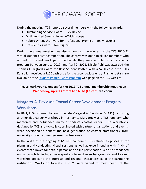

During the meeting, TCS honored several members with the following awards:

- Outstanding Service Award Rick DeVoe
- Distinguished Service Award Tricia Hooper
- Robert W. Knecht Award for Professional Promise Emily Patrolia
- President's Award Tom Bigford

During the annual meeting, we also announced the winners of the TCS 2020-21 virtual student poster competition. The contest was open to all TCS members who wished to present work performed while they were enrolled in an academic program between June 1, 2019, and April 2, 2021. Nicole Pehl was awarded the Thomas E. Bigford award for Best Student Poster, with a \$250 cash prize. Ellis Kalaidjian received a \$100 cash prize for the second-place entry. Further details are available at the [Student Poster Award Program](https://thecoastalsociety.org/tcs-student-poster-award-program/) web page on the TCS website.

#### **Please mark your calendars for the 2022 TCS annual membership meeting on Wednesday, April 13th from 4 to 6 PM (Eastern) via Zoom.**

## <span id="page-5-0"></span>Margaret A. Davidson Coastal Career Development Program **Workshops**

In 2021, TCS continued to honor the late Margaret A. Davidson (M.A.D.) by hosting another five career workshops in her name. Margaret was a TCS luminary who mentored and befriended many of today's coastal leaders. The workshops, designed by TCS and typically coordinated with partner organizations and events, were developed to benefit the next generation of coastal practitioners, from university students to early-career professionals.

In the wake of the ongoing COVID-19 pandemic, TCS refined its processes for planning and conducting virtual sessions as well as experimenting with "hybrid" events that allowed for both in-person and online participation. We also broadened our approach to include more speakers from diverse backgrounds and tailored workshop topics to the interests and regional characteristics of the partnering institutions. Workshop formats in 2021 were varied to meet needs of the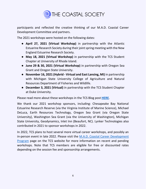

participants and reflected the creative thinking of our M.A.D. Coastal Career Development Committee and partners.

The 2021 workshops were hosted on the following dates:

- **April 27, 2021 (Virtual Workshop)** in partnership with the Atlantic Estuarine Research Society during their joint spring meeting with the New England Estuarine Research Society.
- **May 18, 2021 (Virtual Workshop)** in partnership with the TCS Student Chapter at University of Rhode Island.
- **June 29 & 30, 2021 (Virtual Workshop)** in partnership with Oregon Sea Grant and Oregon State University.
- **November 16, 2021 (Hybrid - Virtual and East Lansing, MI)** in partnership with Michigan State University College of Agriculture and Natural Resources Department of Fisheries and Wildlife.
- **December 3, 2021 (Virtual)** in partnership with the TCS Student Chapter at Duke University.

Please read more about these workshops in the TCS Blog post **[HERE](https://thecoastalsociety.org/tcs-continues-successful-shift-to-virtual-coastal-career-workshops-in-2021/)**.

We thank our 2021 workshop sponsors, including: Chesapeake Bay National Estuarine Research Reserve (via the Virginia Institute of Marine Science), Michael DeLuca, Earth Resources Technology, Oregon Sea Grant (via Oregon State University), Washington Sea Grant (via the University of Washington), Michigan State University, Geodynamics, Inlet Inn (Beaufort, NC). Lynker Technologies also contributed in 2021 to sponsor workshops in 2022.

In 2022, TCS plans to host several more virtual career workshops, and possibly an in-person event in late 2022. Please visit the [M.A.D. Coastal Career Development](https://thecoastalsociety.org/margaret-a-davidson-coastal-career-development-program/)  [Program](https://thecoastalsociety.org/margaret-a-davidson-coastal-career-development-program/) page on the TCS website for more information on recent and pending workshops. Note that TCS members are eligible for free or discounted rates depending on the session fee and sponsorship arrangements.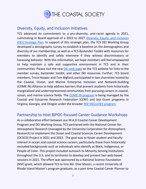

#### <span id="page-7-0"></span>Diversity, Equity, and Inclusion Initiatives

TCS advanced its commitment to a pro-diversity, anti-racist agenda in 2021, culminating in Board approval of a 2022 to 2027 [Diversity, Equity, and Inclusion](https://thecoastalsociety.org/the-coastal-society-diversity-equity-inclusion-strategic-plan-2022-2027/)  [\(DEI\) Strategic Plan.](https://thecoastalsociety.org/the-coastal-society-diversity-equity-inclusion-strategic-plan-2022-2027/) In support of this strategic plan, the TCS DEI Working Group developed a demographic survey to establish a baseline on the demographics and diversity of our membership, as well as a TCS Bystander Toolkit with resources for members to identify and safely intervene if they witness discriminatory or harassing behavior. With this information, we hope members will feel empowered to help maintain a safe and supportive environment in TCS and in their communities. Please visit the new [DEI web page](https://thecoastalsociety.org/about/diversity-equity-and-inclusion/) on the TCS website for links to the member survey, bystander toolkit, and other DEI resources. Further, TCS board members, Tricia Hooper and Tom Bigford, participated in two charrettes hosted by the Coastal, Ocean, and Marine Enterprise Inclusion and Network-building (COME IN) Alliance to help address barriers that prevent students from historically marginalized and underrepresented communities from pursuing careers in coastal, ocean, and marine science fields. The [COME IN program](https://come-in.org/) is being managed by the Coastal and Estuarine Research Federation (CERF) and Sea Grant programs in Virginia, Georgia, and Oregon under the broader [NSF INCLUDES program.](https://www.includesnetwork.org/home)

#### <span id="page-7-1"></span>Partnership to Host BIPOC-focused Career Guidance Workshops

As a collaborative effort between our M.A.D Coastal Career Development Program and DEI Working Group, TCS partnered with the National Center for Atmospheric Research (managed by the University Corporation for Atmospheric Research) to implement the Ocean and Coastal Sciences Career Development (OCSCD) Project in 2021 and 2022. The goal was to foster student and faculty interest in ocean and coastal science careers, particularly those from historically excluded backgrounds such as individuals who identify as Black, Indigenous, or People of Color. This project included outreach to Minority Serving Institutions throughout the U.S. and its territories to develop and present two web-based sessions in 2021. The effort was sponsored by a National Science Foundation (NSF) grant, which allowed TCS to hire Ms. Elise Mason, a recent University of Rhode Island Master's program graduate, as a part-time Coastal Career Planner to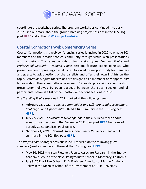

coordinate the workshop series. The program workshops continued into early 2022. Find out more about the ground-breaking project sessions in the TCS Blog post **[HERE](https://thecoastalsociety.org/recent-tcs-partnership-seeks-to-diversify-the-ocean-and-coastal-career-space/)** and at the [OCSCD Project website.](https://ncar.ucar.edu/what-we-offer/education-outreach/undergraduate-graduate-programs/ocean-and-coastal-sciences-career-workshops)

#### <span id="page-8-0"></span>Coastal Connections Web Conferencing Series

Coastal Connections is a web conferencing series launched in 2020 to engage TCS members and the broader coastal community through virtual web presentations and discussions. The series consists of two session types: *Trending Topics* and *Professional Spotlight*. *Trending Topics* sessions feature expert panelists who present on new or pressing coastal issues, followed by an opportunity for members and guests to ask questions of the panelists and offer their own insights on the topic. *Professional Spotlight* sessions are designed as a members-only opportunity to learn about the career paths of seasoned TCS coastal professionals, with a short presentation followed by open dialogue between the guest speaker and all participants. Below is a list of the Coastal Connections sessions in 2021.

The *Trending Topics* sessions in 2021 looked at the following issues:

- **February 26, 2021** *Coastal Communities and Offshore Wind Development: Challenges and Opportunities*. Read a full summary in the TCS Blog post **[HERE.](https://thecoastalsociety.org/benefits-and-challenges-of-u-s-offshore-wind-development-for-our-coastal-communities-a-coastal-connections-discussion/)**
- **July 22, 2021** *Aquaculture Development in the U.S*. Read more about aquaculture practices in the December 2021 blog post **[HERE](https://thecoastalsociety.org/coastal-news-from-the-field-evaluating-the-publics-view-of-the-offshore-aquaculture-industry/)** from one of our July 2021 panelists, Paul Zajicek.
- **October 21, 2021** *Coastal Storms: Community Resiliency*. Read a full summary in the TCS Blog post **[HERE](https://thecoastalsociety.org/tcs-coastal-connections-discusses-coastal-storms-and-community-resilience/)**.

The *Professional Spotlight* sessions in 2021 focused on the following guest speakers (read a summary of these at the TCS Blog post **[HERE](https://thecoastalsociety.org/tcs-members-in-the-spotlight-during-the-2021-coastal-connections-series/)**):

- **May 10, 2021**  Kristen Fletcher, Faculty Associate-Research in the Energy Academic Group at the Naval Postgraduate School in Monterey, California
- **July 8, 2021** Mike Orbach, PhD, Professor Emeritus of Marine Affairs and Policy in the Nicholas School of the Environment at Duke University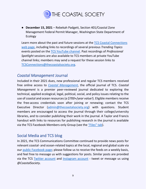

● **December 15, 2021** – Rebekah Padgett, Section 401/Coastal Zone Management Federal Permit Manager, Washington State Department of Ecology

Learn more about the past and future sessions at the [TCS Coastal Connections](https://thecoastalsociety.org/coastal-connections-web-series/)  [web page,](https://thecoastalsociety.org/coastal-connections-web-series/) including links to recordings of several previous *Trending Topics*  events posted on the [TCS YouTube channel.](https://www.youtube.com/channel/UCvtnZEFnBBpn6EUU4xNWIOw) Past recordings of *Professional Spotlight* sessions are also available to TCS members at private YouTube channel links; members may send a request for these session links to [TCSConnections@thecoastalsociety.org.](mailto:TCSConnections@thecoastalsociety.org)

#### <span id="page-9-0"></span>*Coastal Management* Journal

Included in their 2021 dues, new professional and regular TCS members received free online access to *[Coastal Management](https://www.tandfonline.com/toc/ucmg20/current)*, the official journal of TCS. *Coastal Management* is a premier peer-reviewed journal dedicated to exploring the technical, applied ecological, legal, political, social, and policy issues relating to the use of coastal and ocean resources (*a \$700+/year value!*). Eligible members receive the free-access credentials soon after joining or renewing; contact the TCS Executive Director [\(admin@thecoastalsociety.org\)](mailto:admin@thecoastalsociety.org) with questions. Student members are encouraged to access the journal through their college/university libraries, and to consider publishing their work in the journal. A Taylor and Francis handout with links to resources for publishing research in the journal is available via the TCS Facebook Members-only Group (see the ["Files" tab](https://www.facebook.com/groups/262944337743062/files/)).

### <span id="page-9-1"></span>Social Media and TCS blog

In 2021, the TCS Communications Committee continued to provide news posts for relevant coastal- and ocean-related topics at the local, regional and global scale via our [public Facebook page;](https://www.facebook.com/TheCoastalSociety/) please follow us to receive the feeds on a weekly basis, and feel free to message us with suggestions for posts. Similar posts are provided via the TCS [Twitter account](https://twitter.com/CoastalSociety) and [Instagram account](https://www.instagram.com/thecoastalsociety/) - tweet or message us using *@CoastalSociety*.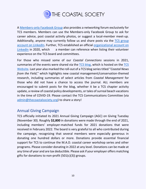

A [Members-only Facebook Group](https://www.facebook.com/groups/262944337743062/) also provides a networking forum exclusively for TCS members. Members can use the Members-only Facebook Group to ask for career advice, post coastal activity photos, or suggest a local-member meet-up. Additionally, anyone may currently follow us and share posts via the [TCS group](https://www.linkedin.com/groups/3779235/)  [account on LinkedIn.](https://www.linkedin.com/groups/3779235/) Further, TCS established an official [organizational](https://www.linkedin.com/company/thecoastalsociety/about/) account on [LinkedIn](https://www.linkedin.com/company/thecoastalsociety/about/) in 2020, which a member can reference when listing their volunteer experience on the TCS board and committees.

For those who missed some of our *Coastal Connections* sessions in 2021, summaries of the events were shared via the [TCS blog,](about:blank) which is hosted on the TCS [Website.](https://thecoastalsociety.org/) Last year also marked the roll-out of a TCS blog series titled "*Coastal News from the Field*," which highlights new coastal management/conservation-themed research, including summaries of select articles from *Coastal Management* for those who did not have a chance to access the journal. ALL members are encouraged to submit posts for the blog, whether it be a TCS chapter activity update, a review of coastal policy developments, or tales of surreal beach vacations in the time of COVID-19. Please contact the TCS Communications Committee (via [admin@thecoastalsociety.org\)](mailto:admin@thecoastalsociety.org) to share a story!

#### <span id="page-10-0"></span>Annual Giving Campaign

TCS officially initiated its 2021 Annual Giving Campaign (AGC) on Giving Tuesday (November 30). Roughly **\$2,800** in donations were made through the end of 2021, including members' employer-matched funds for 2021 donations that were received in February 2022. The board is very grateful to all who contributed during the campaign, recognizing that several members were especially generous in donating one hundred dollars or more. Donations provide essential financial support for TCS to continue the M.A.D. coastal career workshop series and other programs. Please consider donating in 2022 at any level. Donations can be made at any time of year and are tax deductible. Please ask if your employer offers matching gifts for donations to non-profit  $(501(c)(3))$  groups.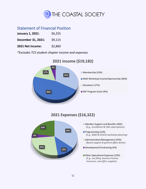

#### <span id="page-11-0"></span>Statement of Financial Position

| January 1, 2021:   | \$6,255 |
|--------------------|---------|
| December 31, 2021: | \$9,115 |
| 2021 Net Income:   | \$2,860 |

*\*Excludes TCS student chapter income and expenses.* 



#### **2021 Income (\$19,182)**

### **2021 Expenses (\$16,322)**



- **Member Support and Benefits (36%)** *(E.g., enrollment & CMJ subscriptions)*
- Programming (12%) *(E.g., MAD & OCSCD workshop planning)*
- Administration/Management (25%) *) (Board support & general office duties)*
- Development/Fundraising (4%) *)*
- Other Operational Expenses (23%) *(E.g., tax filing, business license, insurance, and office supplies)*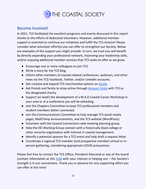

#### <span id="page-12-0"></span>Become Involved!

In 2021, TCS facilitated the excellent programs and events discussed in this report thanks to the efforts of dedicated volunteers. However, additional member support is essential to continue our initiatives and fulfill the TCS mission! Please consider what volunteer effort(s) you can offer to strengthen our Society. Below are examples of the support you might provide. In turn, we trust you will benefit by directly expanding your professional network, improving your leadership skills, and/or enjoying additional member services that TCS seeks to offer as we grow.

- Encourage one or more colleagues to join TCS.
- Write a story for the TCS blog.
- Inform other members of coastal-related conferences, webinars, and other news via the TCS Facebook, Twitter, and/or LinkedIn accounts.
- Get creative and expand TCS merchandise options on [Zazzle.](https://www.zazzle.com/the_coastal_society*)
- Ask friends and family to shop online through [Amazon Smile](https://smile.amazon.com/gp/chpf/homepage?orig=%2F) with TCS as the designated charity.
- Support (or lead!) the development of a M.A.D Coastal Career Workshop in your area or at a conference you will be attending.
- Join the Chapters Committee to keep TCS professional members and student members better connected.
- Join the Communications Committee to help manage TCS social media pages, MailChimp announcements, and the TCS website (WordPress).
- Volunteer with the Coastal Connections web meeting planning group.
- Help the DEI Working Group connect with a historically black college or other minority organization with interest in coastal management.
- Identify a potential sponsor for a TCS event and help draft a request letter.
- Coordinate a regional TCS member (and prospective member) virtual or inperson gathering, considering appropriate COVID precautions.

Please feel free to contact the TCS Office, President MacLeod or any of the board (contact information at this  $\frac{link}{}$  with your interest in helping out – the Society's strength is in our connections. Thank you in advance for any supporting effort you can offer at this time!